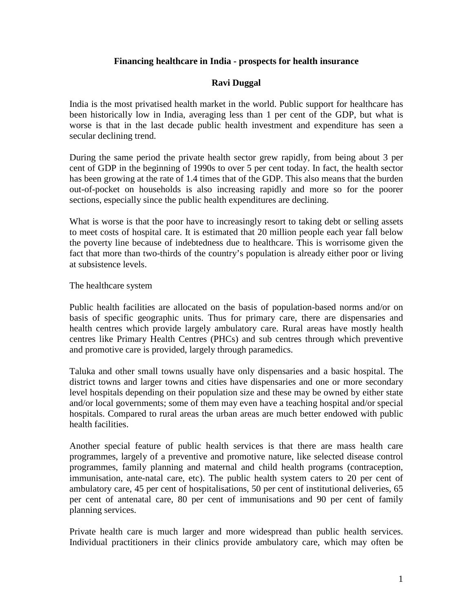# **Financing healthcare in India - prospects for health insurance**

# **Ravi Duggal**

India is the most privatised health market in the world. Public support for healthcare has been historically low in India, averaging less than 1 per cent of the GDP, but what is worse is that in the last decade public health investment and expenditure has seen a secular declining trend.

During the same period the private health sector grew rapidly, from being about 3 per cent of GDP in the beginning of 1990s to over 5 per cent today. In fact, the health sector has been growing at the rate of 1.4 times that of the GDP. This also means that the burden out-of-pocket on households is also increasing rapidly and more so for the poorer sections, especially since the public health expenditures are declining.

What is worse is that the poor have to increasingly resort to taking debt or selling assets to meet costs of hospital care. It is estimated that 20 million people each year fall below the poverty line because of indebtedness due to healthcare. This is worrisome given the fact that more than two-thirds of the country's population is already either poor or living at subsistence levels.

The healthcare system

Public health facilities are allocated on the basis of population-based norms and/or on basis of specific geographic units. Thus for primary care, there are dispensaries and health centres which provide largely ambulatory care. Rural areas have mostly health centres like Primary Health Centres (PHCs) and sub centres through which preventive and promotive care is provided, largely through paramedics.

Taluka and other small towns usually have only dispensaries and a basic hospital. The district towns and larger towns and cities have dispensaries and one or more secondary level hospitals depending on their population size and these may be owned by either state and/or local governments; some of them may even have a teaching hospital and/or special hospitals. Compared to rural areas the urban areas are much better endowed with public health facilities.

Another special feature of public health services is that there are mass health care programmes, largely of a preventive and promotive nature, like selected disease control programmes, family planning and maternal and child health programs (contraception, immunisation, ante-natal care, etc). The public health system caters to 20 per cent of ambulatory care, 45 per cent of hospitalisations, 50 per cent of institutional deliveries, 65 per cent of antenatal care, 80 per cent of immunisations and 90 per cent of family planning services.

Private health care is much larger and more widespread than public health services. Individual practitioners in their clinics provide ambulatory care, which may often be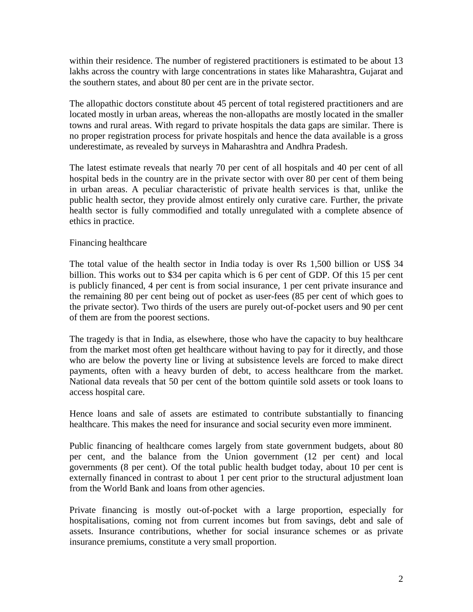within their residence. The number of registered practitioners is estimated to be about 13 lakhs across the country with large concentrations in states like Maharashtra, Gujarat and the southern states, and about 80 per cent are in the private sector.

The allopathic doctors constitute about 45 percent of total registered practitioners and are located mostly in urban areas, whereas the non-allopaths are mostly located in the smaller towns and rural areas. With regard to private hospitals the data gaps are similar. There is no proper registration process for private hospitals and hence the data available is a gross underestimate, as revealed by surveys in Maharashtra and Andhra Pradesh.

The latest estimate reveals that nearly 70 per cent of all hospitals and 40 per cent of all hospital beds in the country are in the private sector with over 80 per cent of them being in urban areas. A peculiar characteristic of private health services is that, unlike the public health sector, they provide almost entirely only curative care. Further, the private health sector is fully commodified and totally unregulated with a complete absence of ethics in practice.

## Financing healthcare

The total value of the health sector in India today is over Rs 1,500 billion or US\$ 34 billion. This works out to \$34 per capita which is 6 per cent of GDP. Of this 15 per cent is publicly financed, 4 per cent is from social insurance, 1 per cent private insurance and the remaining 80 per cent being out of pocket as user-fees (85 per cent of which goes to the private sector). Two thirds of the users are purely out-of-pocket users and 90 per cent of them are from the poorest sections.

The tragedy is that in India, as elsewhere, those who have the capacity to buy healthcare from the market most often get healthcare without having to pay for it directly, and those who are below the poverty line or living at subsistence levels are forced to make direct payments, often with a heavy burden of debt, to access healthcare from the market. National data reveals that 50 per cent of the bottom quintile sold assets or took loans to access hospital care.

Hence loans and sale of assets are estimated to contribute substantially to financing healthcare. This makes the need for insurance and social security even more imminent.

Public financing of healthcare comes largely from state government budgets, about 80 per cent, and the balance from the Union government (12 per cent) and local governments (8 per cent). Of the total public health budget today, about 10 per cent is externally financed in contrast to about 1 per cent prior to the structural adjustment loan from the World Bank and loans from other agencies.

Private financing is mostly out-of-pocket with a large proportion, especially for hospitalisations, coming not from current incomes but from savings, debt and sale of assets. Insurance contributions, whether for social insurance schemes or as private insurance premiums, constitute a very small proportion.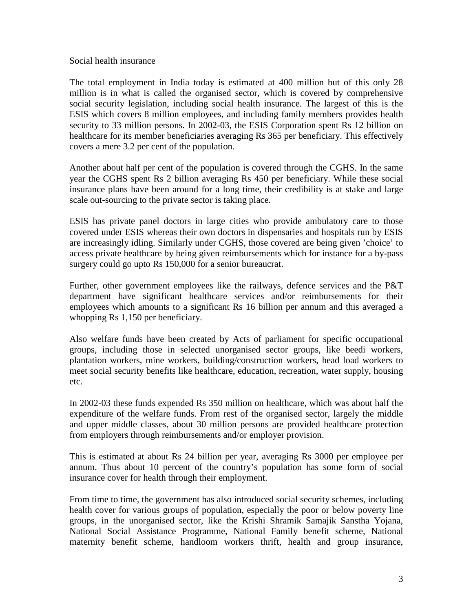#### Social health insurance

The total employment in India today is estimated at 400 million but of this only 28 million is in what is called the organised sector, which is covered by comprehensive social security legislation, including social health insurance. The largest of this is the ESIS which covers 8 million employees, and including family members provides health security to 33 million persons. In 2002-03, the ESIS Corporation spent Rs 12 billion on healthcare for its member beneficiaries averaging Rs 365 per beneficiary. This effectively covers a mere 3.2 per cent of the population.

Another about half per cent of the population is covered through the CGHS. In the same year the CGHS spent Rs 2 billion averaging Rs 450 per beneficiary. While these social insurance plans have been around for a long time, their credibility is at stake and large scale out-sourcing to the private sector is taking place.

ESIS has private panel doctors in large cities who provide ambulatory care to those covered under ESIS whereas their own doctors in dispensaries and hospitals run by ESIS are increasingly idling. Similarly under CGHS, those covered are being given 'choice' to access private healthcare by being given reimbursements which for instance for a by-pass surgery could go upto Rs 150,000 for a senior bureaucrat.

Further, other government employees like the railways, defence services and the P&T department have significant healthcare services and/or reimbursements for their employees which amounts to a significant Rs 16 billion per annum and this averaged a whopping Rs 1,150 per beneficiary.

Also welfare funds have been created by Acts of parliament for specific occupational groups, including those in selected unorganised sector groups, like beedi workers, plantation workers, mine workers, building/construction workers, head load workers to meet social security benefits like healthcare, education, recreation, water supply, housing etc.

In 2002-03 these funds expended Rs 350 million on healthcare, which was about half the expenditure of the welfare funds. From rest of the organised sector, largely the middle and upper middle classes, about 30 million persons are provided healthcare protection from employers through reimbursements and/or employer provision.

This is estimated at about Rs 24 billion per year, averaging Rs 3000 per employee per annum. Thus about 10 percent of the country's population has some form of social insurance cover for health through their employment.

From time to time, the government has also introduced social security schemes, including health cover for various groups of population, especially the poor or below poverty line groups, in the unorganised sector, like the Krishi Shramik Samajik Sanstha Yojana, National Social Assistance Programme, National Family benefit scheme, National maternity benefit scheme, handloom workers thrift, health and group insurance,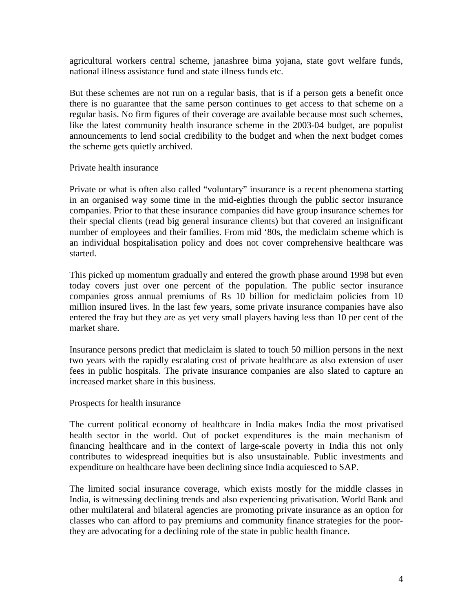agricultural workers central scheme, janashree bima yojana, state govt welfare funds, national illness assistance fund and state illness funds etc.

But these schemes are not run on a regular basis, that is if a person gets a benefit once there is no guarantee that the same person continues to get access to that scheme on a regular basis. No firm figures of their coverage are available because most such schemes, like the latest community health insurance scheme in the 2003-04 budget, are populist announcements to lend social credibility to the budget and when the next budget comes the scheme gets quietly archived.

### Private health insurance

Private or what is often also called "voluntary" insurance is a recent phenomena starting in an organised way some time in the mid-eighties through the public sector insurance companies. Prior to that these insurance companies did have group insurance schemes for their special clients (read big general insurance clients) but that covered an insignificant number of employees and their families. From mid '80s, the mediclaim scheme which is an individual hospitalisation policy and does not cover comprehensive healthcare was started.

This picked up momentum gradually and entered the growth phase around 1998 but even today covers just over one percent of the population. The public sector insurance companies gross annual premiums of Rs 10 billion for mediclaim policies from 10 million insured lives. In the last few years, some private insurance companies have also entered the fray but they are as yet very small players having less than 10 per cent of the market share.

Insurance persons predict that mediclaim is slated to touch 50 million persons in the next two years with the rapidly escalating cost of private healthcare as also extension of user fees in public hospitals. The private insurance companies are also slated to capture an increased market share in this business.

### Prospects for health insurance

The current political economy of healthcare in India makes India the most privatised health sector in the world. Out of pocket expenditures is the main mechanism of financing healthcare and in the context of large-scale poverty in India this not only contributes to widespread inequities but is also unsustainable. Public investments and expenditure on healthcare have been declining since India acquiesced to SAP.

The limited social insurance coverage, which exists mostly for the middle classes in India, is witnessing declining trends and also experiencing privatisation. World Bank and other multilateral and bilateral agencies are promoting private insurance as an option for classes who can afford to pay premiums and community finance strategies for the poorthey are advocating for a declining role of the state in public health finance.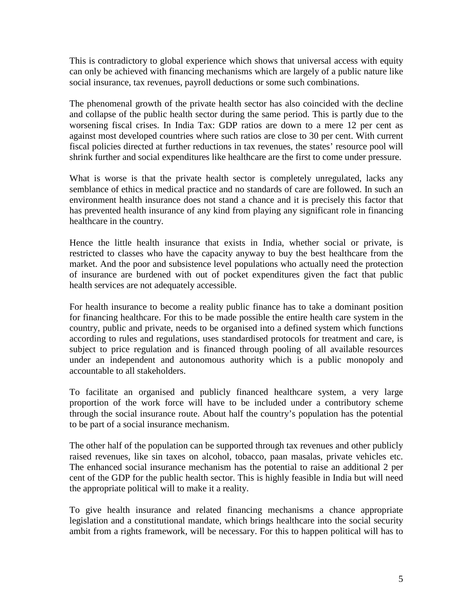This is contradictory to global experience which shows that universal access with equity can only be achieved with financing mechanisms which are largely of a public nature like social insurance, tax revenues, payroll deductions or some such combinations.

The phenomenal growth of the private health sector has also coincided with the decline and collapse of the public health sector during the same period. This is partly due to the worsening fiscal crises. In India Tax: GDP ratios are down to a mere 12 per cent as against most developed countries where such ratios are close to 30 per cent. With current fiscal policies directed at further reductions in tax revenues, the states' resource pool will shrink further and social expenditures like healthcare are the first to come under pressure.

What is worse is that the private health sector is completely unregulated, lacks any semblance of ethics in medical practice and no standards of care are followed. In such an environment health insurance does not stand a chance and it is precisely this factor that has prevented health insurance of any kind from playing any significant role in financing healthcare in the country.

Hence the little health insurance that exists in India, whether social or private, is restricted to classes who have the capacity anyway to buy the best healthcare from the market. And the poor and subsistence level populations who actually need the protection of insurance are burdened with out of pocket expenditures given the fact that public health services are not adequately accessible.

For health insurance to become a reality public finance has to take a dominant position for financing healthcare. For this to be made possible the entire health care system in the country, public and private, needs to be organised into a defined system which functions according to rules and regulations, uses standardised protocols for treatment and care, is subject to price regulation and is financed through pooling of all available resources under an independent and autonomous authority which is a public monopoly and accountable to all stakeholders.

To facilitate an organised and publicly financed healthcare system, a very large proportion of the work force will have to be included under a contributory scheme through the social insurance route. About half the country's population has the potential to be part of a social insurance mechanism.

The other half of the population can be supported through tax revenues and other publicly raised revenues, like sin taxes on alcohol, tobacco, paan masalas, private vehicles etc. The enhanced social insurance mechanism has the potential to raise an additional 2 per cent of the GDP for the public health sector. This is highly feasible in India but will need the appropriate political will to make it a reality.

To give health insurance and related financing mechanisms a chance appropriate legislation and a constitutional mandate, which brings healthcare into the social security ambit from a rights framework, will be necessary. For this to happen political will has to